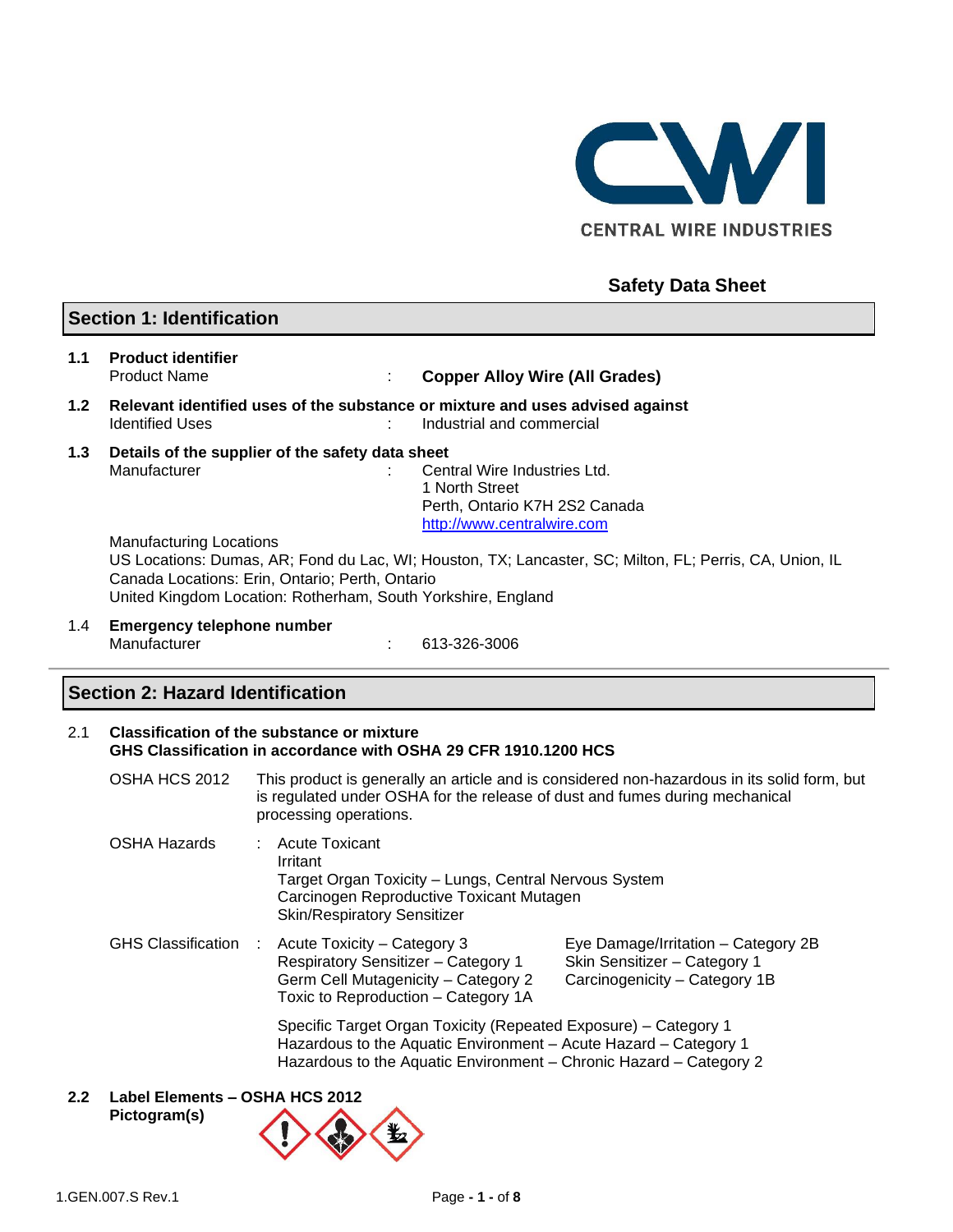

# **Safety Data Sheet**

## **Section 1: Identification**

| 1.1              | <b>Product identifier</b><br><b>Product Name</b>                                                                                                                                                                                                             |  | <b>Copper Alloy Wire (All Grades)</b>                                                                         |  |  |  |
|------------------|--------------------------------------------------------------------------------------------------------------------------------------------------------------------------------------------------------------------------------------------------------------|--|---------------------------------------------------------------------------------------------------------------|--|--|--|
| 1.2 <sub>2</sub> | <b>Identified Uses</b>                                                                                                                                                                                                                                       |  | Relevant identified uses of the substance or mixture and uses advised against<br>Industrial and commercial    |  |  |  |
| 1.3              | Details of the supplier of the safety data sheet<br>Manufacturer                                                                                                                                                                                             |  | Central Wire Industries Ltd.<br>1 North Street<br>Perth, Ontario K7H 2S2 Canada<br>http://www.centralwire.com |  |  |  |
|                  | <b>Manufacturing Locations</b><br>US Locations: Dumas, AR; Fond du Lac, WI; Houston, TX; Lancaster, SC; Milton, FL; Perris, CA, Union, IL<br>Canada Locations: Erin, Ontario; Perth, Ontario<br>United Kingdom Location: Rotherham, South Yorkshire, England |  |                                                                                                               |  |  |  |

1.4 **Emergency telephone number**

 $: 613-326-3006$ 

# **Section 2: Hazard Identification**

#### 2.1 **Classification of the substance or mixture GHS Classification in accordance with OSHA 29 CFR 1910.1200 HCS**

- OSHA HCS 2012 This product is generally an article and is considered non-hazardous in its solid form, but is regulated under OSHA for the release of dust and fumes during mechanical processing operations. OSHA Hazards : Acute Toxicant
	- Irritant Target Organ Toxicity – Lungs, Central Nervous System Carcinogen Reproductive Toxicant Mutagen Skin/Respiratory Sensitizer

GHS Classification : Acute Toxicity – Category 3 Eye Damage/Irritation – Category 2B Respiratory Sensitizer – Category 1 Skin Sensitizer – Category 1 Germ Cell Mutagenicity – Category 2 Carcinogenicity – Category 1B Toxic to Reproduction – Category 1A

> Specific Target Organ Toxicity (Repeated Exposure) – Category 1 Hazardous to the Aquatic Environment – Acute Hazard – Category 1 Hazardous to the Aquatic Environment – Chronic Hazard – Category 2

#### **2.2 Label Elements – OSHA HCS 2012 Pictogram(s)**

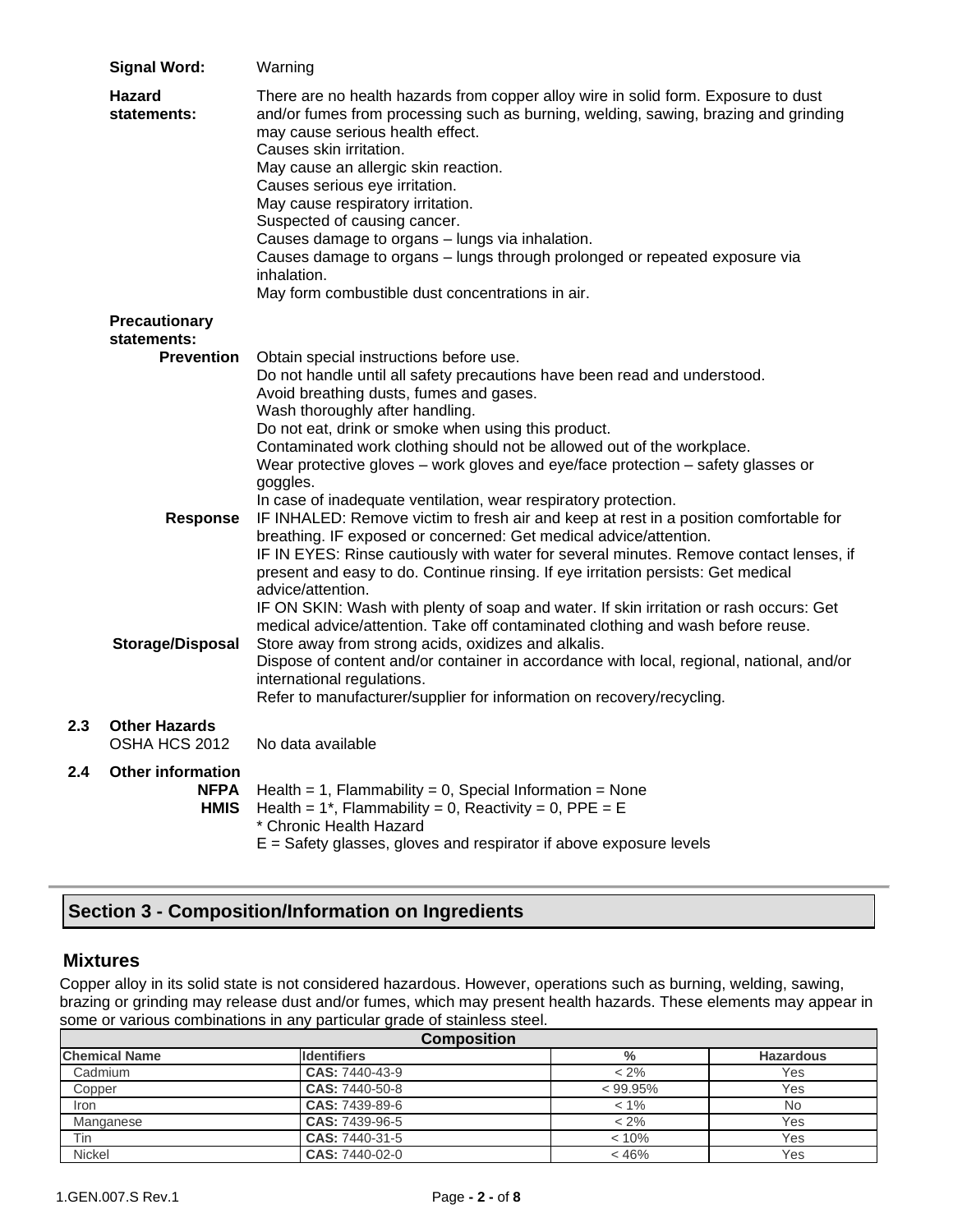|                  | <b>Signal Word:</b>                                    | Warning                                                                                                                                                                                                                                                                                                                                                                                                                                                                                                                                                                                     |
|------------------|--------------------------------------------------------|---------------------------------------------------------------------------------------------------------------------------------------------------------------------------------------------------------------------------------------------------------------------------------------------------------------------------------------------------------------------------------------------------------------------------------------------------------------------------------------------------------------------------------------------------------------------------------------------|
|                  | <b>Hazard</b><br>statements:                           | There are no health hazards from copper alloy wire in solid form. Exposure to dust<br>and/or fumes from processing such as burning, welding, sawing, brazing and grinding<br>may cause serious health effect.<br>Causes skin irritation.<br>May cause an allergic skin reaction.<br>Causes serious eye irritation.<br>May cause respiratory irritation.<br>Suspected of causing cancer.<br>Causes damage to organs - lungs via inhalation.<br>Causes damage to organs - lungs through prolonged or repeated exposure via<br>inhalation.<br>May form combustible dust concentrations in air. |
|                  | Precautionary                                          |                                                                                                                                                                                                                                                                                                                                                                                                                                                                                                                                                                                             |
|                  | statements:<br>Prevention                              | Obtain special instructions before use.<br>Do not handle until all safety precautions have been read and understood.<br>Avoid breathing dusts, fumes and gases.<br>Wash thoroughly after handling.<br>Do not eat, drink or smoke when using this product.<br>Contaminated work clothing should not be allowed out of the workplace.<br>Wear protective gloves - work gloves and eye/face protection - safety glasses or                                                                                                                                                                     |
|                  | <b>Response</b>                                        | goggles.<br>In case of inadequate ventilation, wear respiratory protection.<br>IF INHALED: Remove victim to fresh air and keep at rest in a position comfortable for<br>breathing. IF exposed or concerned: Get medical advice/attention.<br>IF IN EYES: Rinse cautiously with water for several minutes. Remove contact lenses, if<br>present and easy to do. Continue rinsing. If eye irritation persists: Get medical                                                                                                                                                                    |
|                  | Storage/Disposal                                       | advice/attention.<br>IF ON SKIN: Wash with plenty of soap and water. If skin irritation or rash occurs: Get<br>medical advice/attention. Take off contaminated clothing and wash before reuse.<br>Store away from strong acids, oxidizes and alkalis.<br>Dispose of content and/or container in accordance with local, regional, national, and/or<br>international regulations.<br>Refer to manufacturer/supplier for information on recovery/recycling.                                                                                                                                    |
| 2.3 <sub>2</sub> | <b>Other Hazards</b><br>OSHA HCS 2012                  | No data available                                                                                                                                                                                                                                                                                                                                                                                                                                                                                                                                                                           |
| 2.4              | <b>Other information</b><br><b>NFPA</b><br><b>HMIS</b> | Health = 1, Flammability = 0, Special Information = None<br>Health = $1^*$ , Flammability = 0, Reactivity = 0, PPE = E<br>* Chronic Health Hazard<br>$E =$ Safety glasses, gloves and respirator if above exposure levels                                                                                                                                                                                                                                                                                                                                                                   |

# **Section 3 - Composition/Information on Ingredients**

# **Mixtures**

Copper alloy in its solid state is not considered hazardous. However, operations such as burning, welding, sawing, brazing or grinding may release dust and/or fumes, which may present health hazards. These elements may appear in some or various combinations in any particular grade of stainless steel.

| <b>Composition</b>   |                       |             |                  |  |  |
|----------------------|-----------------------|-------------|------------------|--|--|
| <b>Chemical Name</b> | <b>Identifiers</b>    | %           | <b>Hazardous</b> |  |  |
| Cadmium              | CAS: 7440-43-9        | $< 2\%$     | Yes              |  |  |
| Copper               | CAS: 7440-50-8        | $< 99.95\%$ | Yes              |  |  |
| Iron                 | CAS: 7439-89-6        | $< 1\%$     | No               |  |  |
| Manganese            | CAS: 7439-96-5        | $< 2\%$     | Yes              |  |  |
| Tin                  | CAS: 7440-31-5        | < 10%       | Yes              |  |  |
| <b>Nickel</b>        | <b>CAS: 7440-02-0</b> | $< 46\%$    | Yes              |  |  |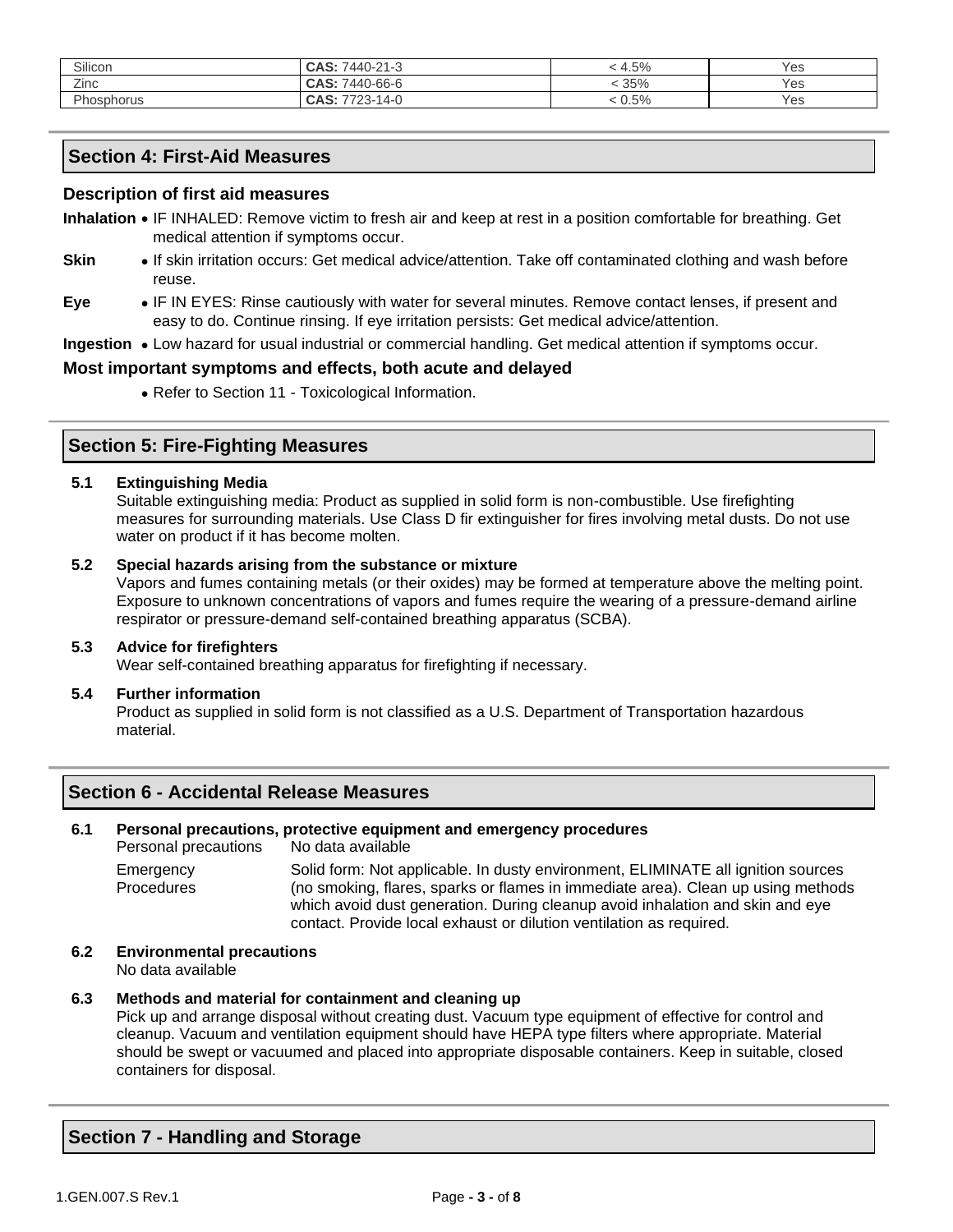| Silicon          | 7440-21-3<br>$\overline{\phantom{a}}$<br>CAS: | 4.5% | Yes |
|------------------|-----------------------------------------------|------|-----|
| Zinc             | 7440-66-6<br>$\overline{\phantom{a}}$<br>CAS: | 35%  | Yes |
| Dŀ<br>'hosphorus | 7700<br>$-14-0$<br>CAS<br>$\sim$ –<br>د∠      | 0.5% | Yes |

### **Section 4: First-Aid Measures**

#### **Description of first aid measures**

- **Inhalation** IF INHALED: Remove victim to fresh air and keep at rest in a position comfortable for breathing. Get medical attention if symptoms occur.
- **Skin** If skin irritation occurs: Get medical advice/attention. Take off contaminated clothing and wash before reuse.
- **Eye** IF IN EYES: Rinse cautiously with water for several minutes. Remove contact lenses, if present and easy to do. Continue rinsing. If eye irritation persists: Get medical advice/attention.

**Ingestion** • Low hazard for usual industrial or commercial handling. Get medical attention if symptoms occur.

#### **Most important symptoms and effects, both acute and delayed**

• Refer to Section 11 - Toxicological Information.

### **Section 5: Fire-Fighting Measures**

#### **5.1 Extinguishing Media**

Suitable extinguishing media: Product as supplied in solid form is non-combustible. Use firefighting measures for surrounding materials. Use Class D fir extinguisher for fires involving metal dusts. Do not use water on product if it has become molten.

### **5.2 Special hazards arising from the substance or mixture**

Vapors and fumes containing metals (or their oxides) may be formed at temperature above the melting point. Exposure to unknown concentrations of vapors and fumes require the wearing of a pressure-demand airline respirator or pressure-demand self-contained breathing apparatus (SCBA).

#### **5.3 Advice for firefighters**

Wear self-contained breathing apparatus for firefighting if necessary.

#### **5.4 Further information**

Product as supplied in solid form is not classified as a U.S. Department of Transportation hazardous material.

### **Section 6 - Accidental Release Measures**

### **6.1 Personal precautions, protective equipment and emergency procedures**

Personal precautions No data available

**Emergency** Procedures Solid form: Not applicable. In dusty environment, ELIMINATE all ignition sources (no smoking, flares, sparks or flames in immediate area). Clean up using methods which avoid dust generation. During cleanup avoid inhalation and skin and eye contact. Provide local exhaust or dilution ventilation as required.

# **6.2 Environmental precautions**

No data available

#### **6.3 Methods and material for containment and cleaning up**

Pick up and arrange disposal without creating dust. Vacuum type equipment of effective for control and cleanup. Vacuum and ventilation equipment should have HEPA type filters where appropriate. Material should be swept or vacuumed and placed into appropriate disposable containers. Keep in suitable, closed containers for disposal.

### **Section 7 - Handling and Storage**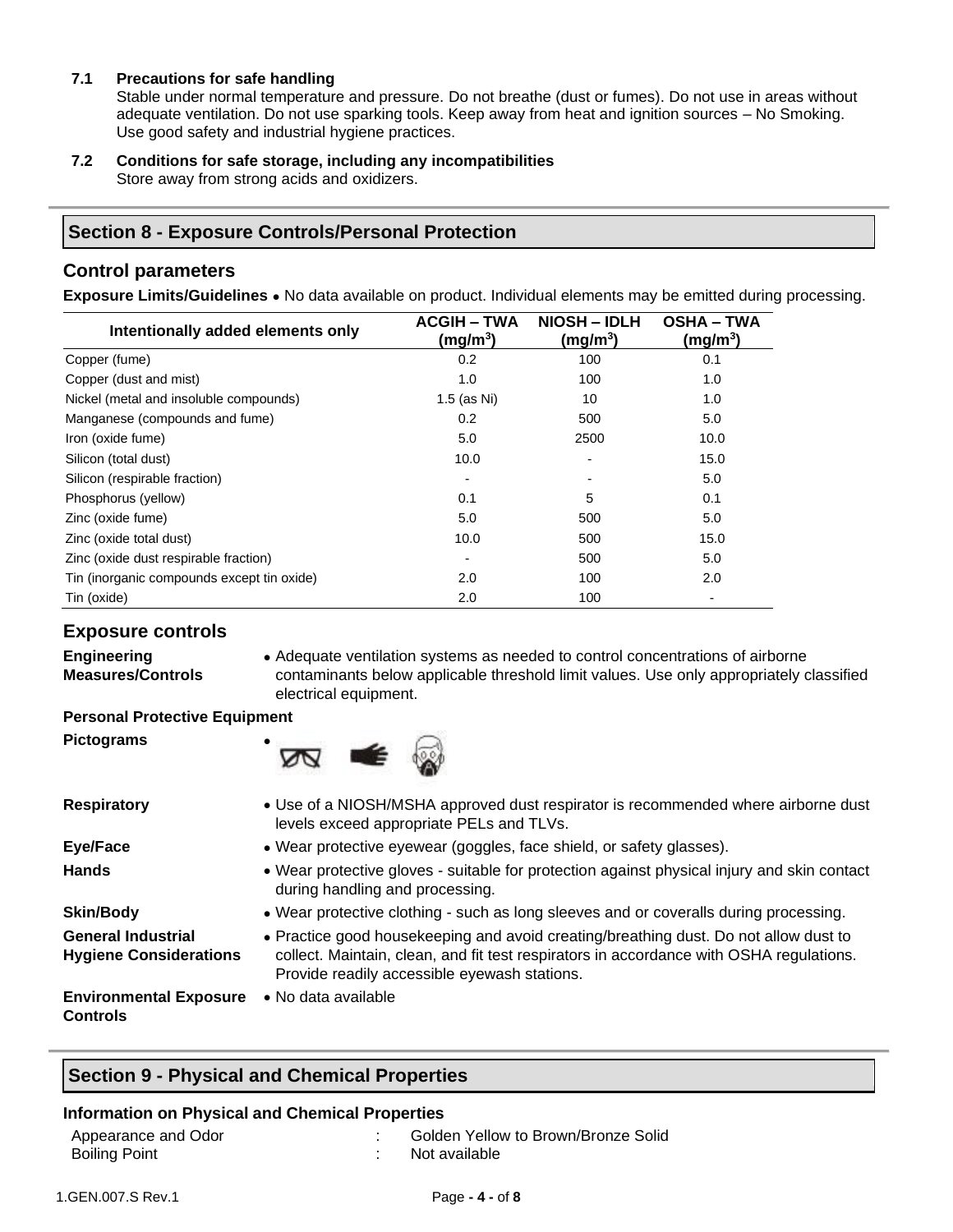### **7.1 Precautions for safe handling**

Stable under normal temperature and pressure. Do not breathe (dust or fumes). Do not use in areas without adequate ventilation. Do not use sparking tools. Keep away from heat and ignition sources – No Smoking. Use good safety and industrial hygiene practices.

**7.2 Conditions for safe storage, including any incompatibilities** Store away from strong acids and oxidizers.

# **Section 8 - Exposure Controls/Personal Protection**

## **Control parameters**

**Exposure Limits/Guidelines** • No data available on product. Individual elements may be emitted during processing.

| Intentionally added elements only          | <b>ACGIH – TWA</b><br>(mg/m <sup>3</sup> ) | <b>NIOSH - IDLH</b><br>(mg/m <sup>3</sup> ) | <b>OSHA-TWA</b><br>(mg/m $^3$ ) |
|--------------------------------------------|--------------------------------------------|---------------------------------------------|---------------------------------|
| Copper (fume)                              | 0.2                                        | 100                                         | 0.1                             |
| Copper (dust and mist)                     | 1.0                                        | 100                                         | 1.0                             |
| Nickel (metal and insoluble compounds)     | 1.5 (as Ni)                                | 10                                          | 1.0                             |
| Manganese (compounds and fume)             | 0.2                                        | 500                                         | 5.0                             |
| Iron (oxide fume)                          | 5.0                                        | 2500                                        | 10.0                            |
| Silicon (total dust)                       | 10.0                                       |                                             | 15.0                            |
| Silicon (respirable fraction)              | $\overline{\phantom{a}}$                   |                                             | 5.0                             |
| Phosphorus (yellow)                        | 0.1                                        | 5                                           | 0.1                             |
| Zinc (oxide fume)                          | 5.0                                        | 500                                         | 5.0                             |
| Zinc (oxide total dust)                    | 10.0                                       | 500                                         | 15.0                            |
| Zinc (oxide dust respirable fraction)      | $\overline{\phantom{a}}$                   | 500                                         | 5.0                             |
| Tin (inorganic compounds except tin oxide) | 2.0                                        | 100                                         | 2.0                             |
| Tin (oxide)                                | 2.0                                        | 100                                         |                                 |

# **Exposure controls**

**Engineering Measures/Controls**

**Pictograms** •

• Adequate ventilation systems as needed to control concentrations of airborne contaminants below applicable threshold limit values. Use only appropriately classified electrical equipment.

### **Personal Protective Equipment**

| $\sim$ |  |
|--------|--|
|        |  |

| <b>Respiratory</b>                                         | • Use of a NIOSH/MSHA approved dust respirator is recommended where airborne dust<br>levels exceed appropriate PELs and TLVs.                                                                                                   |
|------------------------------------------------------------|---------------------------------------------------------------------------------------------------------------------------------------------------------------------------------------------------------------------------------|
| Eye/Face                                                   | • Wear protective eyewear (goggles, face shield, or safety glasses).                                                                                                                                                            |
| <b>Hands</b>                                               | • Wear protective gloves - suitable for protection against physical injury and skin contact<br>during handling and processing.                                                                                                  |
| <b>Skin/Body</b>                                           | • Wear protective clothing - such as long sleeves and or coveralls during processing.                                                                                                                                           |
| <b>General Industrial</b><br><b>Hygiene Considerations</b> | • Practice good housekeeping and avoid creating/breathing dust. Do not allow dust to<br>collect. Maintain, clean, and fit test respirators in accordance with OSHA regulations.<br>Provide readily accessible eyewash stations. |
| <b>Environmental Exposure</b><br><b>Controls</b>           | • No data available                                                                                                                                                                                                             |

### **Section 9 - Physical and Chemical Properties**

#### **Information on Physical and Chemical Properties**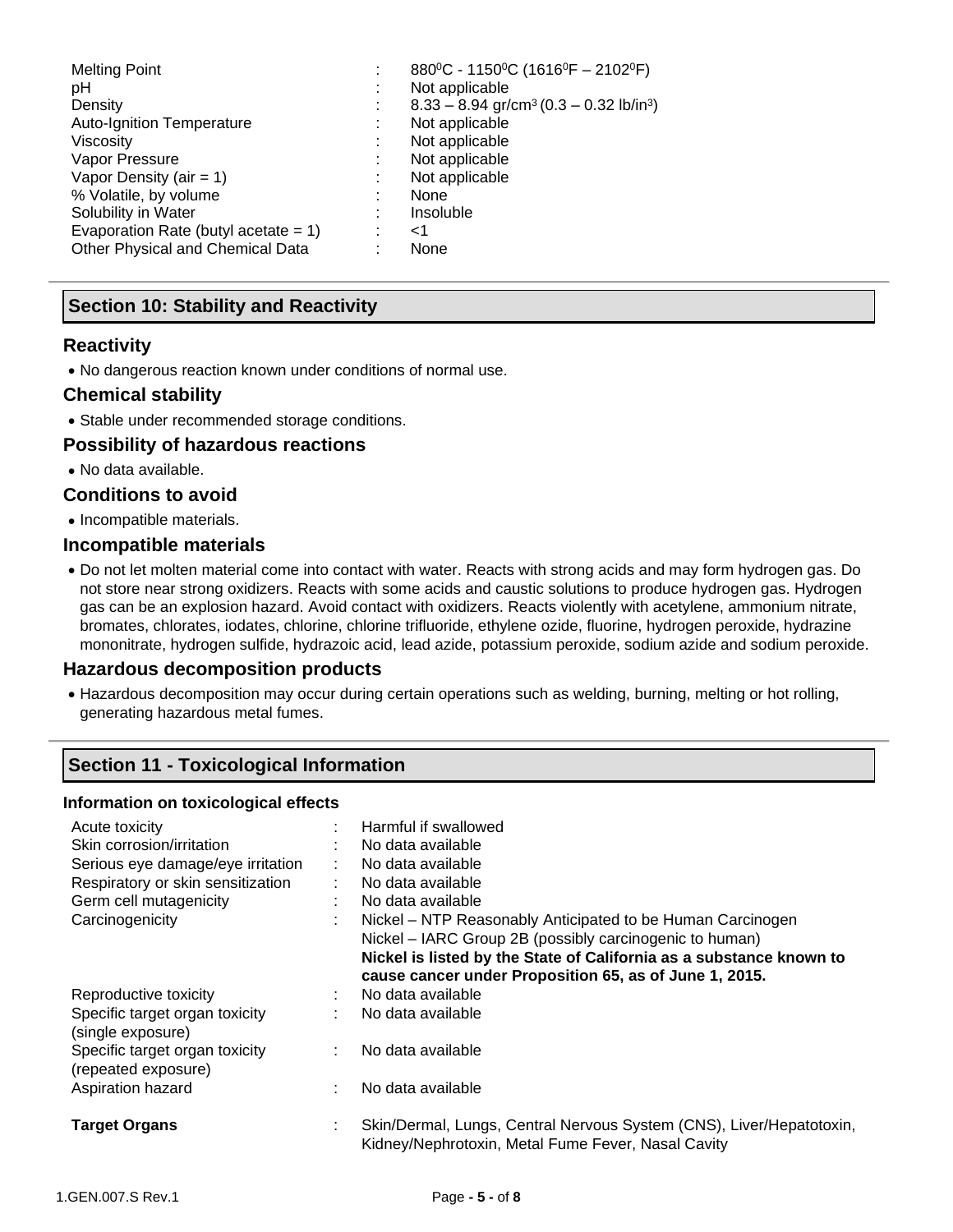| <b>Melting Point</b><br>рH<br>Density<br><b>Auto-Ignition Temperature</b><br>Viscosity<br>Vapor Pressure<br>Vapor Density (air = $1$ )<br>% Volatile, by volume<br>Solubility in Water<br>Evaporation Rate (butyl acetate $= 1$ )<br>Other Physical and Chemical Data | $\mathbf{r}$<br>t.<br>٠ | 880°C - 1150°C (1616°F - 2102°F)<br>Not applicable<br>$8.33 - 8.94$ gr/cm <sup>3</sup> (0.3 - 0.32 lb/in <sup>3</sup> )<br>Not applicable<br>Not applicable<br>Not applicable<br>Not applicable<br>None<br>Insoluble<br>ا><br>None |
|-----------------------------------------------------------------------------------------------------------------------------------------------------------------------------------------------------------------------------------------------------------------------|-------------------------|------------------------------------------------------------------------------------------------------------------------------------------------------------------------------------------------------------------------------------|
|-----------------------------------------------------------------------------------------------------------------------------------------------------------------------------------------------------------------------------------------------------------------------|-------------------------|------------------------------------------------------------------------------------------------------------------------------------------------------------------------------------------------------------------------------------|

# **Section 10: Stability and Reactivity**

# **Reactivity**

• No dangerous reaction known under conditions of normal use.

# **Chemical stability**

• Stable under recommended storage conditions.

# **Possibility of hazardous reactions**

• No data available.

# **Conditions to avoid**

• Incompatible materials.

# **Incompatible materials**

• Do not let molten material come into contact with water. Reacts with strong acids and may form hydrogen gas. Do not store near strong oxidizers. Reacts with some acids and caustic solutions to produce hydrogen gas. Hydrogen gas can be an explosion hazard. Avoid contact with oxidizers. Reacts violently with acetylene, ammonium nitrate, bromates, chlorates, iodates, chlorine, chlorine trifluoride, ethylene ozide, fluorine, hydrogen peroxide, hydrazine mononitrate, hydrogen sulfide, hydrazoic acid, lead azide, potassium peroxide, sodium azide and sodium peroxide.

# **Hazardous decomposition products**

• Hazardous decomposition may occur during certain operations such as welding, burning, melting or hot rolling, generating hazardous metal fumes.

# **Section 11 - Toxicological Information**

### **Information on toxicological effects**

| Acute toxicity<br>Skin corrosion/irritation<br>Serious eye damage/eye irritation<br>Respiratory or skin sensitization<br>Germ cell mutagenicity<br>Carcinogenicity |   | Harmful if swallowed<br>No data available<br>No data available<br>No data available<br>No data available<br>Nickel - NTP Reasonably Anticipated to be Human Carcinogen<br>Nickel – IARC Group 2B (possibly carcinogenic to human)<br>Nickel is listed by the State of California as a substance known to<br>cause cancer under Proposition 65, as of June 1, 2015. |
|--------------------------------------------------------------------------------------------------------------------------------------------------------------------|---|--------------------------------------------------------------------------------------------------------------------------------------------------------------------------------------------------------------------------------------------------------------------------------------------------------------------------------------------------------------------|
| Reproductive toxicity                                                                                                                                              | ٠ | No data available                                                                                                                                                                                                                                                                                                                                                  |
| Specific target organ toxicity<br>(single exposure)                                                                                                                |   | No data available                                                                                                                                                                                                                                                                                                                                                  |
| Specific target organ toxicity<br>(repeated exposure)                                                                                                              | ٠ | No data available                                                                                                                                                                                                                                                                                                                                                  |
| Aspiration hazard                                                                                                                                                  | ٠ | No data available                                                                                                                                                                                                                                                                                                                                                  |
| <b>Target Organs</b>                                                                                                                                               | ÷ | Skin/Dermal, Lungs, Central Nervous System (CNS), Liver/Hepatotoxin,<br>Kidney/Nephrotoxin, Metal Fume Fever, Nasal Cavity                                                                                                                                                                                                                                         |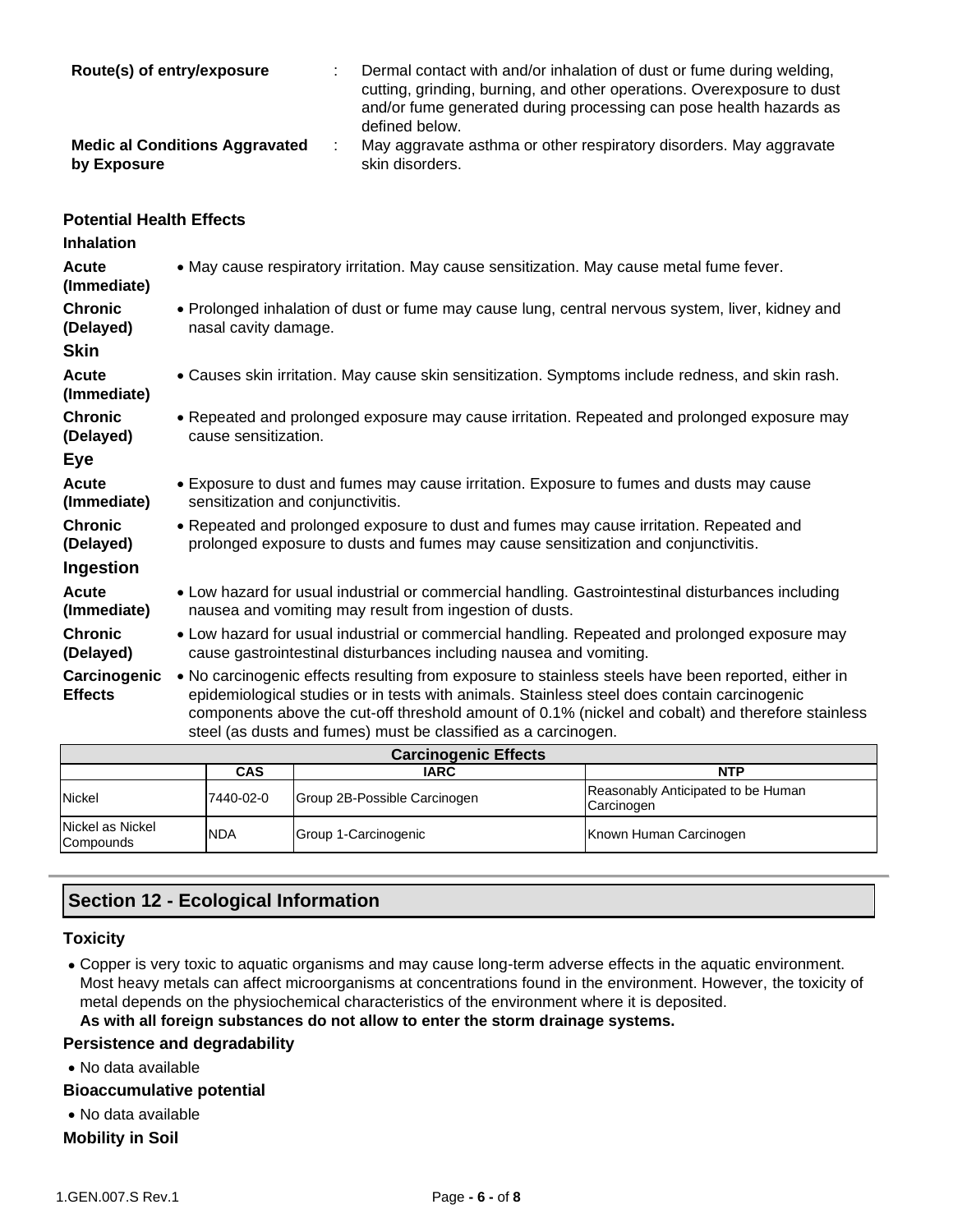| Route(s) of entry/exposure                           | Dermal contact with and/or inhalation of dust or fume during welding,<br>cutting, grinding, burning, and other operations. Overexposure to dust<br>and/or fume generated during processing can pose health hazards as<br>defined below. |
|------------------------------------------------------|-----------------------------------------------------------------------------------------------------------------------------------------------------------------------------------------------------------------------------------------|
| <b>Medic al Conditions Aggravated</b><br>by Exposure | May aggravate asthma or other respiratory disorders. May aggravate<br>skin disorders.                                                                                                                                                   |

### **Potential Health Effects**

**Inhalation**

| Acute<br>(Immediate)                       | • May cause respiratory irritation. May cause sensitization. May cause metal fume fever.                                                                                                           |                      |                                                                                                                               |  |                                                                                                                                                                                                                                           |  |  |
|--------------------------------------------|----------------------------------------------------------------------------------------------------------------------------------------------------------------------------------------------------|----------------------|-------------------------------------------------------------------------------------------------------------------------------|--|-------------------------------------------------------------------------------------------------------------------------------------------------------------------------------------------------------------------------------------------|--|--|
| <b>Chronic</b><br>(Delayed)<br><b>Skin</b> | • Prolonged inhalation of dust or fume may cause lung, central nervous system, liver, kidney and<br>nasal cavity damage.                                                                           |                      |                                                                                                                               |  |                                                                                                                                                                                                                                           |  |  |
| <b>Acute</b><br>(Immediate)                | • Causes skin irritation. May cause skin sensitization. Symptoms include redness, and skin rash.                                                                                                   |                      |                                                                                                                               |  |                                                                                                                                                                                                                                           |  |  |
| <b>Chronic</b><br>(Delayed)                |                                                                                                                                                                                                    | cause sensitization. |                                                                                                                               |  | • Repeated and prolonged exposure may cause irritation. Repeated and prolonged exposure may                                                                                                                                               |  |  |
| Eye                                        |                                                                                                                                                                                                    |                      |                                                                                                                               |  |                                                                                                                                                                                                                                           |  |  |
| Acute<br>(Immediate)                       |                                                                                                                                                                                                    |                      | • Exposure to dust and fumes may cause irritation. Exposure to fumes and dusts may cause<br>sensitization and conjunctivitis. |  |                                                                                                                                                                                                                                           |  |  |
| <b>Chronic</b><br>(Delayed)                | • Repeated and prolonged exposure to dust and fumes may cause irritation. Repeated and<br>prolonged exposure to dusts and fumes may cause sensitization and conjunctivitis.                        |                      |                                                                                                                               |  |                                                                                                                                                                                                                                           |  |  |
| Ingestion                                  |                                                                                                                                                                                                    |                      |                                                                                                                               |  |                                                                                                                                                                                                                                           |  |  |
| Acute<br>(Immediate)                       | • Low hazard for usual industrial or commercial handling. Gastrointestinal disturbances including<br>nausea and vomiting may result from ingestion of dusts.                                       |                      |                                                                                                                               |  |                                                                                                                                                                                                                                           |  |  |
| <b>Chronic</b><br>(Delayed)                | • Low hazard for usual industrial or commercial handling. Repeated and prolonged exposure may<br>cause gastrointestinal disturbances including nausea and vomiting.                                |                      |                                                                                                                               |  |                                                                                                                                                                                                                                           |  |  |
| Carcinogenic<br><b>Effects</b>             | . No carcinogenic effects resulting from exposure to stainless steels have been reported, either in<br>epidemiological studies or in tests with animals. Stainless steel does contain carcinogenic |                      |                                                                                                                               |  |                                                                                                                                                                                                                                           |  |  |
|                                            | components above the cut-off threshold amount of 0.1% (nickel and cobalt) and therefore stainless<br>steel (as dusts and fumes) must be classified as a carcinogen.                                |                      |                                                                                                                               |  |                                                                                                                                                                                                                                           |  |  |
|                                            |                                                                                                                                                                                                    |                      | <b>Carcinogenic Effects</b>                                                                                                   |  |                                                                                                                                                                                                                                           |  |  |
|                                            |                                                                                                                                                                                                    | <b>CAS</b>           | <b>IARC</b>                                                                                                                   |  | <b>NTP</b>                                                                                                                                                                                                                                |  |  |
|                                            |                                                                                                                                                                                                    |                      |                                                                                                                               |  | $D - C$<br>which is a American contract that the filter of the contract of the contract of the contract of the contract of the contract of the contract of the contract of the contract of the contract of the contract of the contract o |  |  |

|                               | CAS        | <b>IARC</b>                  | <b>NTP</b>                                       |
|-------------------------------|------------|------------------------------|--------------------------------------------------|
| Nickel                        | 7440-02-0  | Group 2B-Possible Carcinogen | Reasonably Anticipated to be Human<br>Carcinogen |
| Nickel as Nickel<br>Compounds | <b>NDA</b> | Group 1-Carcinogenic         | Known Human Carcinogen                           |

# **Section 12 - Ecological Information**

# **Toxicity**

• Copper is very toxic to aquatic organisms and may cause long-term adverse effects in the aquatic environment. Most heavy metals can affect microorganisms at concentrations found in the environment. However, the toxicity of metal depends on the physiochemical characteristics of the environment where it is deposited. **As with all foreign substances do not allow to enter the storm drainage systems.**

## **Persistence and degradability**

• No data available

### **Bioaccumulative potential**

• No data available

### **Mobility in Soil**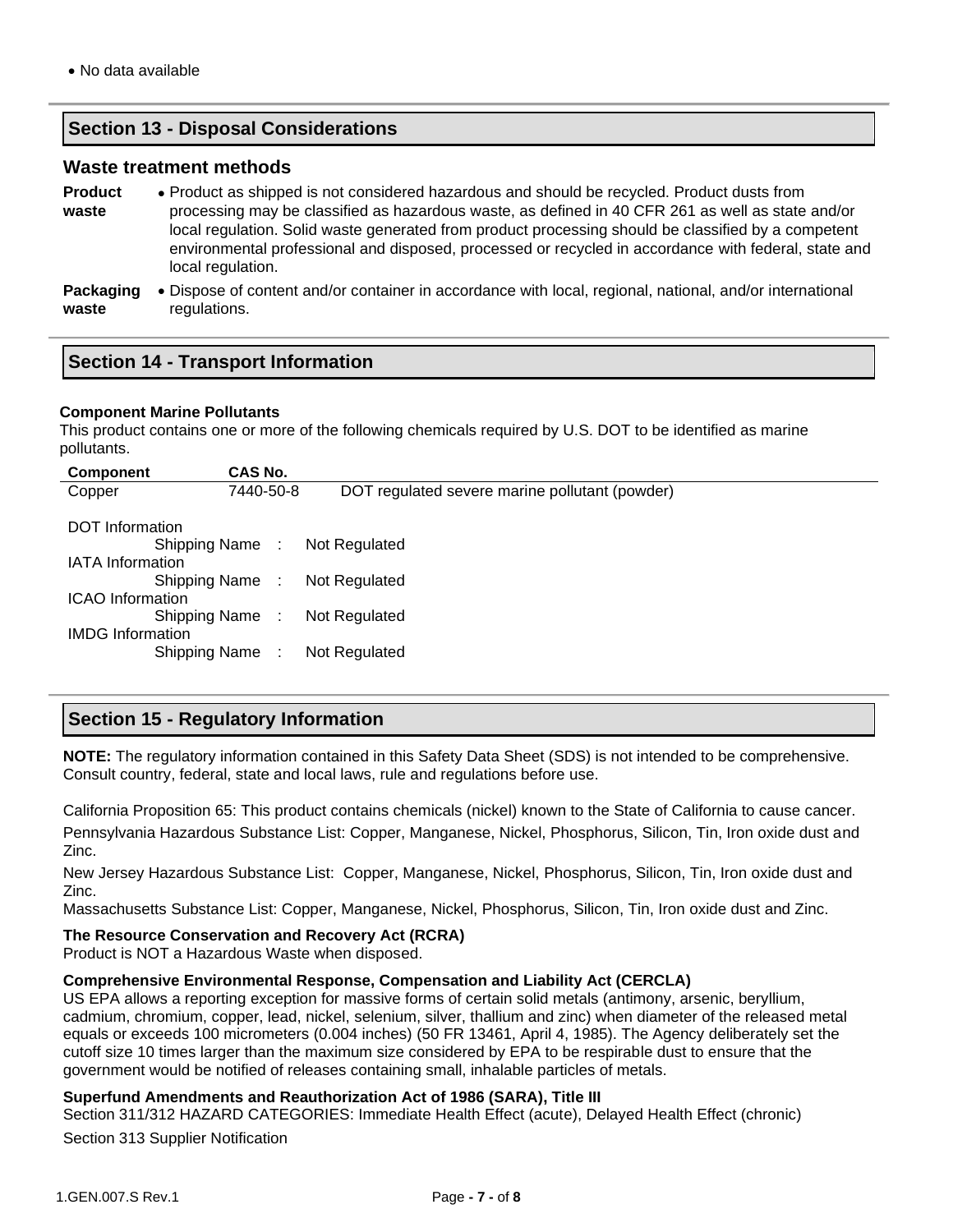# **Section 13 - Disposal Considerations**

### **Waste treatment methods**

**Product waste** • Product as shipped is not considered hazardous and should be recycled. Product dusts from processing may be classified as hazardous waste, as defined in 40 CFR 261 as well as state and/or local regulation. Solid waste generated from product processing should be classified by a competent environmental professional and disposed, processed or recycled in accordance with federal, state and local regulation.

## **Section 14 - Transport Information**

#### **Component Marine Pollutants**

This product contains one or more of the following chemicals required by U.S. DOT to be identified as marine pollutants.

| <b>Component</b>                           | <b>CAS No.</b> |                                                |
|--------------------------------------------|----------------|------------------------------------------------|
| Copper                                     | 7440-50-8      | DOT regulated severe marine pollutant (powder) |
| DOT Information<br><b>IATA</b> Information |                | Shipping Name: Not Regulated                   |
| <b>ICAO</b> Information                    |                | Shipping Name: Not Regulated                   |
| <b>IMDG</b> Information                    |                | Shipping Name: Not Regulated                   |
|                                            | Shipping Name: | Not Regulated                                  |

# **Section 15 - Regulatory Information**

**NOTE:** The regulatory information contained in this Safety Data Sheet (SDS) is not intended to be comprehensive. Consult country, federal, state and local laws, rule and regulations before use.

California Proposition 65: This product contains chemicals (nickel) known to the State of California to cause cancer. Pennsylvania Hazardous Substance List: Copper, Manganese, Nickel, Phosphorus, Silicon, Tin, Iron oxide dust and Zinc.

New Jersey Hazardous Substance List: Copper, Manganese, Nickel, Phosphorus, Silicon, Tin, Iron oxide dust and Zinc.

Massachusetts Substance List: Copper, Manganese, Nickel, Phosphorus, Silicon, Tin, Iron oxide dust and Zinc.

#### **The Resource Conservation and Recovery Act (RCRA)**

Product is NOT a Hazardous Waste when disposed.

#### **Comprehensive Environmental Response, Compensation and Liability Act (CERCLA)**

US EPA allows a reporting exception for massive forms of certain solid metals (antimony, arsenic, beryllium, cadmium, chromium, copper, lead, nickel, selenium, silver, thallium and zinc) when diameter of the released metal equals or exceeds 100 micrometers (0.004 inches) (50 FR 13461, April 4, 1985). The Agency deliberately set the cutoff size 10 times larger than the maximum size considered by EPA to be respirable dust to ensure that the government would be notified of releases containing small, inhalable particles of metals.

#### **Superfund Amendments and Reauthorization Act of 1986 (SARA), Title III**

Section 311/312 HAZARD CATEGORIES: Immediate Health Effect (acute), Delayed Health Effect (chronic)

Section 313 Supplier Notification

**Packaging waste** • Dispose of content and/or container in accordance with local, regional, national, and/or international regulations.